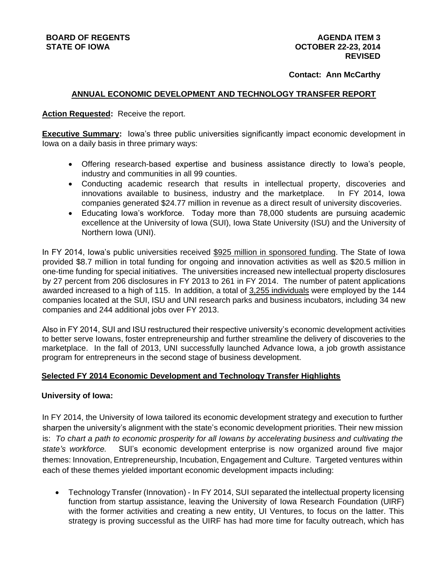## **Contact: Ann McCarthy**

# **ANNUAL ECONOMIC DEVELOPMENT AND TECHNOLOGY TRANSFER REPORT**

### **Action Requested:** Receive the report.

**Executive Summary:** Iowa's three public universities significantly impact economic development in Iowa on a daily basis in three primary ways:

- Offering research-based expertise and business assistance directly to Iowa's people, industry and communities in all 99 counties.
- Conducting academic research that results in intellectual property, discoveries and innovations available to business, industry and the marketplace. In FY 2014, Iowa companies generated \$24.77 million in revenue as a direct result of university discoveries.
- Educating Iowa's workforce. Today more than 78,000 students are pursuing academic excellence at the University of Iowa (SUI), Iowa State University (ISU) and the University of Northern Iowa (UNI).

In FY 2014, Iowa's public universities received \$925 million in sponsored funding. The State of Iowa provided \$8.7 million in total funding for ongoing and innovation activities as well as \$20.5 million in one-time funding for special initiatives. The universities increased new intellectual property disclosures by 27 percent from 206 disclosures in FY 2013 to 261 in FY 2014. The number of patent applications awarded increased to a high of 115. In addition, a total of 3,255 individuals were employed by the 144 companies located at the SUI, ISU and UNI research parks and business incubators, including 34 new companies and 244 additional jobs over FY 2013.

Also in FY 2014, SUI and ISU restructured their respective university's economic development activities to better serve Iowans, foster entrepreneurship and further streamline the delivery of discoveries to the marketplace. In the fall of 2013, UNI successfully launched Advance Iowa, a job growth assistance program for entrepreneurs in the second stage of business development.

### **Selected FY 2014 Economic Development and Technology Transfer Highlights**

### **University of Iowa:**

In FY 2014, the University of Iowa tailored its economic development strategy and execution to further sharpen the university's alignment with the state's economic development priorities. Their new mission is: *To chart a path to economic prosperity for all Iowans by accelerating business and cultivating the state's workforce.* SUI's economic development enterprise is now organized around five major themes: Innovation, Entrepreneurship, Incubation, Engagement and Culture. Targeted ventures within each of these themes yielded important economic development impacts including:

 Technology Transfer (Innovation) - In FY 2014, SUI separated the intellectual property licensing function from startup assistance, leaving the University of Iowa Research Foundation (UIRF) with the former activities and creating a new entity, UI Ventures, to focus on the latter. This strategy is proving successful as the UIRF has had more time for faculty outreach, which has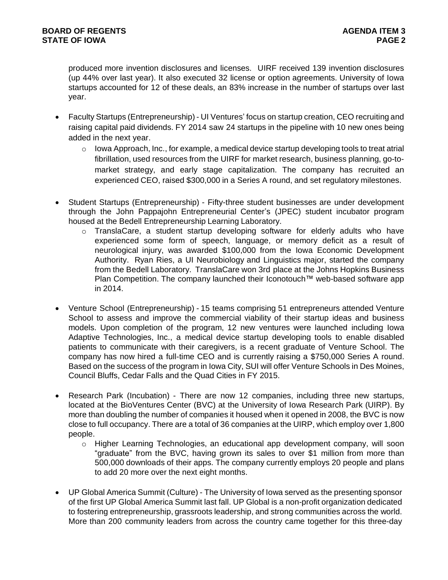produced more invention disclosures and licenses. UIRF received 139 invention disclosures (up 44% over last year). It also executed 32 license or option agreements. University of Iowa startups accounted for 12 of these deals, an 83% increase in the number of startups over last year.

- Faculty Startups (Entrepreneurship) UI Ventures' focus on startup creation, CEO recruiting and raising capital paid dividends. FY 2014 saw 24 startups in the pipeline with 10 new ones being added in the next year.
	- $\circ$  Iowa Approach, Inc., for example, a medical device startup developing tools to treat atrial fibrillation, used resources from the UIRF for market research, business planning, go-tomarket strategy, and early stage capitalization. The company has recruited an experienced CEO, raised \$300,000 in a Series A round, and set regulatory milestones.
- Student Startups (Entrepreneurship) Fifty-three student businesses are under development through the John Pappajohn Entrepreneurial Center's (JPEC) student incubator program housed at the Bedell Entrepreneurship Learning Laboratory.
	- $\circ$  TranslaCare, a student startup developing software for elderly adults who have experienced some form of speech, language, or memory deficit as a result of neurological injury, was awarded \$100,000 from the Iowa Economic Development Authority. Ryan Ries, a UI Neurobiology and Linguistics major, started the company from the Bedell Laboratory. TranslaCare won 3rd place at the Johns Hopkins Business Plan Competition. The company launched their Iconotouch™ web-based software app in 2014.
- Venture School (Entrepreneurship) 15 teams comprising 51 entrepreneurs attended Venture School to assess and improve the commercial viability of their startup ideas and business models. Upon completion of the program, 12 new ventures were launched including Iowa Adaptive Technologies, Inc., a medical device startup developing tools to enable disabled patients to communicate with their caregivers, is a recent graduate of Venture School. The company has now hired a full-time CEO and is currently raising a \$750,000 Series A round. Based on the success of the program in Iowa City, SUI will offer Venture Schools in Des Moines, Council Bluffs, Cedar Falls and the Quad Cities in FY 2015.
- Research Park (Incubation) There are now 12 companies, including three new startups, located at the BioVentures Center (BVC) at the University of Iowa Research Park (UIRP). By more than doubling the number of companies it housed when it opened in 2008, the BVC is now close to full occupancy. There are a total of 36 companies at the UIRP, which employ over 1,800 people.
	- o Higher Learning Technologies, an educational app development company, will soon "graduate" from the BVC, having grown its sales to over \$1 million from more than 500,000 downloads of their apps. The company currently employs 20 people and plans to add 20 more over the next eight months.
- UP Global America Summit (Culture) The University of Iowa served as the presenting sponsor of the first UP Global America Summit last fall. UP Global is a non-profit organization dedicated to fostering entrepreneurship, grassroots leadership, and strong communities across the world. More than 200 community leaders from across the country came together for this three-day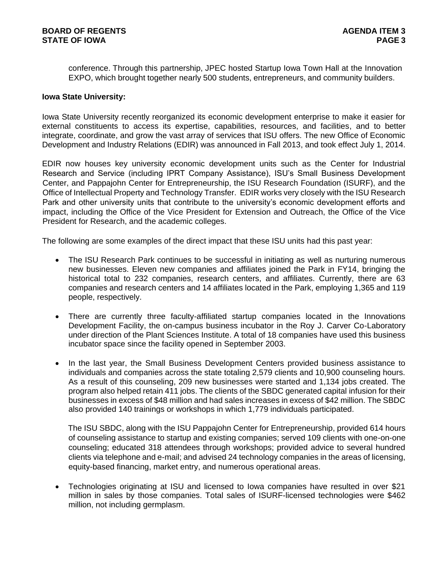conference. Through this partnership, JPEC hosted Startup Iowa Town Hall at the Innovation EXPO, which brought together nearly 500 students, entrepreneurs, and community builders.

#### **Iowa State University:**

Iowa State University recently reorganized its economic development enterprise to make it easier for external constituents to access its expertise, capabilities, resources, and facilities, and to better integrate, coordinate, and grow the vast array of services that ISU offers. The new Office of Economic Development and Industry Relations (EDIR) was announced in Fall 2013, and took effect July 1, 2014.

EDIR now houses key university economic development units such as the Center for Industrial Research and Service (including IPRT Company Assistance), ISU's Small Business Development Center, and Pappajohn Center for Entrepreneurship, the ISU Research Foundation (ISURF), and the Office of Intellectual Property and Technology Transfer. EDIR works very closely with the ISU Research Park and other university units that contribute to the university's economic development efforts and impact, including the Office of the Vice President for Extension and Outreach, the Office of the Vice President for Research, and the academic colleges.

The following are some examples of the direct impact that these ISU units had this past year:

- The ISU Research Park continues to be successful in initiating as well as nurturing numerous new businesses. Eleven new companies and affiliates joined the Park in FY14, bringing the historical total to 232 companies, research centers, and affiliates. Currently, there are 63 companies and research centers and 14 affiliates located in the Park, employing 1,365 and 119 people, respectively.
- There are currently three faculty-affiliated startup companies located in the Innovations Development Facility, the on-campus business incubator in the Roy J. Carver Co-Laboratory under direction of the Plant Sciences Institute. A total of 18 companies have used this business incubator space since the facility opened in September 2003.
- In the last year, the Small Business Development Centers provided business assistance to individuals and companies across the state totaling 2,579 clients and 10,900 counseling hours. As a result of this counseling, 209 new businesses were started and 1,134 jobs created. The program also helped retain 411 jobs. The clients of the SBDC generated capital infusion for their businesses in excess of \$48 million and had sales increases in excess of \$42 million. The SBDC also provided 140 trainings or workshops in which 1,779 individuals participated.

The ISU SBDC, along with the ISU Pappajohn Center for Entrepreneurship, provided 614 hours of counseling assistance to startup and existing companies; served 109 clients with one-on-one counseling; educated 318 attendees through workshops; provided advice to several hundred clients via telephone and e-mail; and advised 24 technology companies in the areas of licensing, equity-based financing, market entry, and numerous operational areas.

 Technologies originating at ISU and licensed to Iowa companies have resulted in over \$21 million in sales by those companies. Total sales of ISURF-licensed technologies were \$462 million, not including germplasm.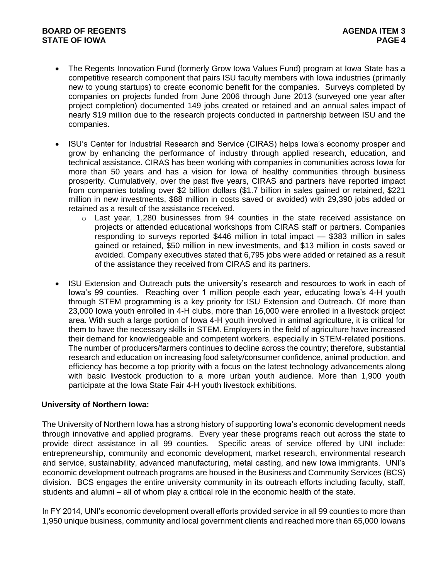## **BOARD OF REGENTS AGENTS** AGENDA ITEM 3 **STATE OF IOWA** PAGE 4

- The Regents Innovation Fund (formerly Grow Iowa Values Fund) program at Iowa State has a competitive research component that pairs ISU faculty members with Iowa industries (primarily new to young startups) to create economic benefit for the companies. Surveys completed by companies on projects funded from June 2006 through June 2013 (surveyed one year after project completion) documented 149 jobs created or retained and an annual sales impact of nearly \$19 million due to the research projects conducted in partnership between ISU and the companies.
- ISU's Center for Industrial Research and Service (CIRAS) helps Iowa's economy prosper and grow by enhancing the performance of industry through applied research, education, and technical assistance. CIRAS has been working with companies in communities across Iowa for more than 50 years and has a vision for Iowa of healthy communities through business prosperity. Cumulatively, over the past five years, CIRAS and partners have reported impact from companies totaling over \$2 billion dollars (\$1.7 billion in sales gained or retained, \$221 million in new investments, \$88 million in costs saved or avoided) with 29,390 jobs added or retained as a result of the assistance received.
	- $\circ$  Last year, 1,280 businesses from 94 counties in the state received assistance on projects or attended educational workshops from CIRAS staff or partners. Companies responding to surveys reported \$446 million in total impact — \$383 million in sales gained or retained, \$50 million in new investments, and \$13 million in costs saved or avoided. Company executives stated that 6,795 jobs were added or retained as a result of the assistance they received from CIRAS and its partners.
- ISU Extension and Outreach puts the university's research and resources to work in each of Iowa's 99 counties. Reaching over 1 million people each year, educating Iowa's 4-H youth through STEM programming is a key priority for ISU Extension and Outreach. Of more than 23,000 Iowa youth enrolled in 4-H clubs, more than 16,000 were enrolled in a livestock project area. With such a large portion of Iowa 4-H youth involved in animal agriculture, it is critical for them to have the necessary skills in STEM. Employers in the field of agriculture have increased their demand for knowledgeable and competent workers, especially in STEM-related positions. The number of producers/farmers continues to decline across the country; therefore, substantial research and education on increasing food safety/consumer confidence, animal production, and efficiency has become a top priority with a focus on the latest technology advancements along with basic livestock production to a more urban youth audience. More than 1,900 youth participate at the Iowa State Fair 4-H youth livestock exhibitions.

### **University of Northern Iowa:**

The University of Northern Iowa has a strong history of supporting Iowa's economic development needs through innovative and applied programs. Every year these programs reach out across the state to provide direct assistance in all 99 counties. Specific areas of service offered by UNI include: entrepreneurship, community and economic development, market research, environmental research and service, sustainability, advanced manufacturing, metal casting, and new Iowa immigrants. UNI's economic development outreach programs are housed in the Business and Community Services (BCS) division. BCS engages the entire university community in its outreach efforts including faculty, staff, students and alumni – all of whom play a critical role in the economic health of the state.

In FY 2014, UNI's economic development overall efforts provided service in all 99 counties to more than 1,950 unique business, community and local government clients and reached more than 65,000 Iowans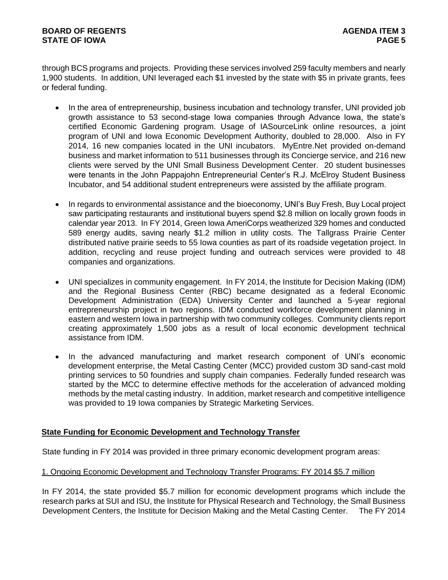through BCS programs and projects. Providing these services involved 259 faculty members and nearly 1,900 students. In addition, UNI leveraged each \$1 invested by the state with \$5 in private grants, fees or federal funding.

- In the area of entrepreneurship, business incubation and technology transfer, UNI provided job growth assistance to 53 second-stage Iowa companies through Advance Iowa, the state's certified Economic Gardening program. Usage of IASourceLink online resources, a joint program of UNI and Iowa Economic Development Authority, doubled to 28,000. Also in FY 2014, 16 new companies located in the UNI incubators. MyEntre.Net provided on-demand business and market information to 511 businesses through its Concierge service, and 216 new clients were served by the UNI Small Business Development Center. 20 student businesses were tenants in the John Pappajohn Entrepreneurial Center's R.J. McElroy Student Business Incubator, and 54 additional student entrepreneurs were assisted by the affiliate program.
- In regards to environmental assistance and the bioeconomy, UNI's Buy Fresh, Buy Local project saw participating restaurants and institutional buyers spend \$2.8 million on locally grown foods in calendar year 2013. In FY 2014, Green Iowa AmeriCorps weatherized 329 homes and conducted 589 energy audits, saving nearly \$1.2 million in utility costs. The Tallgrass Prairie Center distributed native prairie seeds to 55 Iowa counties as part of its roadside vegetation project. In addition, recycling and reuse project funding and outreach services were provided to 48 companies and organizations.
- UNI specializes in community engagement. In FY 2014, the Institute for Decision Making (IDM) and the Regional Business Center (RBC) became designated as a federal Economic Development Administration (EDA) University Center and launched a 5-year regional entrepreneurship project in two regions. IDM conducted workforce development planning in eastern and western Iowa in partnership with two community colleges. Community clients report creating approximately 1,500 jobs as a result of local economic development technical assistance from IDM.
- In the advanced manufacturing and market research component of UNI's economic development enterprise, the Metal Casting Center (MCC) provided custom 3D sand-cast mold printing services to 50 foundries and supply chain companies. Federally funded research was started by the MCC to determine effective methods for the acceleration of advanced molding methods by the metal casting industry. In addition, market research and competitive intelligence was provided to 19 Iowa companies by Strategic Marketing Services.

# **State Funding for Economic Development and Technology Transfer**

State funding in FY 2014 was provided in three primary economic development program areas:

### 1. Ongoing Economic Development and Technology Transfer Programs: FY 2014 \$5.7 million

In FY 2014, the state provided \$5.7 million for economic development programs which include the research parks at SUI and ISU, the Institute for Physical Research and Technology, the Small Business Development Centers, the Institute for Decision Making and the Metal Casting Center. The FY 2014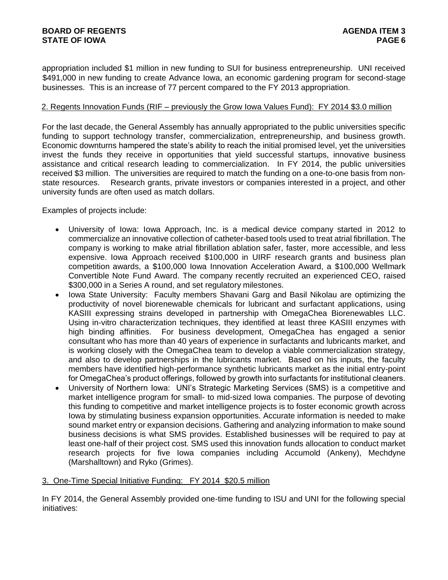appropriation included \$1 million in new funding to SUI for business entrepreneurship. UNI received \$491,000 in new funding to create Advance Iowa, an economic gardening program for second-stage businesses. This is an increase of 77 percent compared to the FY 2013 appropriation.

## 2. Regents Innovation Funds (RIF – previously the Grow Iowa Values Fund): FY 2014 \$3.0 million

For the last decade, the General Assembly has annually appropriated to the public universities specific funding to support technology transfer, commercialization, entrepreneurship, and business growth. Economic downturns hampered the state's ability to reach the initial promised level, yet the universities invest the funds they receive in opportunities that yield successful startups, innovative business assistance and critical research leading to commercialization. In FY 2014, the public universities received \$3 million. The universities are required to match the funding on a one-to-one basis from nonstate resources. Research grants, private investors or companies interested in a project, and other university funds are often used as match dollars.

Examples of projects include:

- University of Iowa: Iowa Approach, Inc. is a medical device company started in 2012 to commercialize an innovative collection of catheter-based tools used to treat atrial fibrillation. The company is working to make atrial fibrillation ablation safer, faster, more accessible, and less expensive. Iowa Approach received \$100,000 in UIRF research grants and business plan competition awards, a \$100,000 Iowa Innovation Acceleration Award, a \$100,000 Wellmark Convertible Note Fund Award. The company recently recruited an experienced CEO, raised \$300,000 in a Series A round, and set regulatory milestones.
- Iowa State University: Faculty members Shavani Garg and Basil Nikolau are optimizing the productivity of novel biorenewable chemicals for lubricant and surfactant applications, using KASIII expressing strains developed in partnership with OmegaChea Biorenewables LLC. Using in-vitro characterization techniques, they identified at least three KASIII enzymes with high binding affinities. For business development, OmegaChea has engaged a senior consultant who has more than 40 years of experience in surfactants and lubricants market, and is working closely with the OmegaChea team to develop a viable commercialization strategy, and also to develop partnerships in the lubricants market. Based on his inputs, the faculty members have identified high-performance synthetic lubricants market as the initial entry-point for OmegaChea's product offerings, followed by growth into surfactants for institutional cleaners.
- University of Northern Iowa: UNI's Strategic Marketing Services (SMS) is a competitive and market intelligence program for small- to mid-sized Iowa companies. The purpose of devoting this funding to competitive and market intelligence projects is to foster economic growth across Iowa by stimulating business expansion opportunities. Accurate information is needed to make sound market entry or expansion decisions. Gathering and analyzing information to make sound business decisions is what SMS provides. Established businesses will be required to pay at least one-half of their project cost. SMS used this innovation funds allocation to conduct market research projects for five Iowa companies including Accumold (Ankeny), Mechdyne (Marshalltown) and Ryko (Grimes).

# 3. One-Time Special Initiative Funding: FY 2014 \$20.5 million

In FY 2014, the General Assembly provided one-time funding to ISU and UNI for the following special initiatives: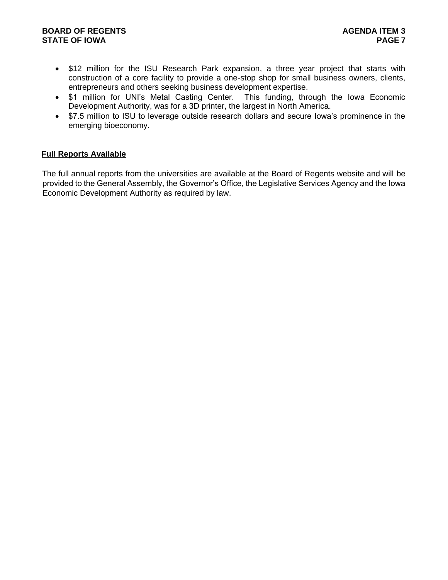## **BOARD OF REGENTS AGENTS** AGENDA ITEM 3 **STATE OF IOWA** PAGE 7

- \$12 million for the ISU Research Park expansion, a three year project that starts with construction of a core facility to provide a one-stop shop for small business owners, clients, entrepreneurs and others seeking business development expertise.
- \$1 million for UNI's Metal Casting Center. This funding, through the Iowa Economic Development Authority, was for a 3D printer, the largest in North America.
- \$7.5 million to ISU to leverage outside research dollars and secure Iowa's prominence in the emerging bioeconomy.

# **Full Reports Available**

The full annual reports from the universities are available at the Board of Regents website and will be provided to the General Assembly, the Governor's Office, the Legislative Services Agency and the Iowa Economic Development Authority as required by law.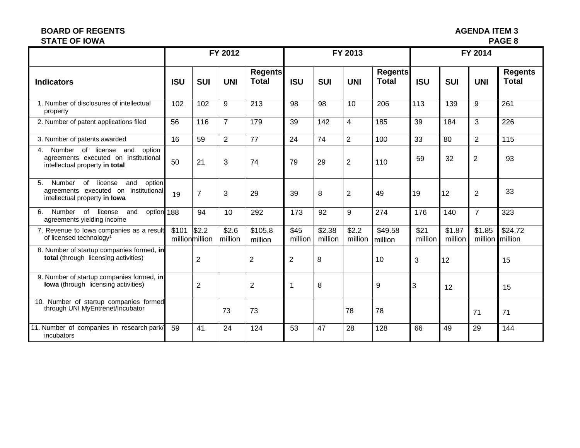## **BOARD OF REGENTS**<br> **BOARD OF REGENTS**<br> **BOARD OF IOWA**<br> **BOARD OF IOWA STATE OF IOWA**

|                                                                                                                                     | FY 2012    |                                 |                  |                                | FY 2013         |                   |                  |                                | FY 2014         |                   |                             |                                |
|-------------------------------------------------------------------------------------------------------------------------------------|------------|---------------------------------|------------------|--------------------------------|-----------------|-------------------|------------------|--------------------------------|-----------------|-------------------|-----------------------------|--------------------------------|
| <b>Indicators</b>                                                                                                                   | <b>ISU</b> | <b>SUI</b>                      | <b>UNI</b>       | <b>Regents</b><br><b>Total</b> | <b>ISU</b>      | <b>SUI</b>        | <b>UNI</b>       | <b>Regents</b><br><b>Total</b> | <b>ISU</b>      | <b>SUI</b>        | <b>UNI</b>                  | <b>Regents</b><br><b>Total</b> |
| 1. Number of disclosures of intellectual<br>property                                                                                | 102        | 102                             | 9                | 213                            | 98              | 98                | 10               | 206                            | 113             | 139               | 9                           | 261                            |
| 2. Number of patent applications filed                                                                                              | 56         | 116                             | $\overline{7}$   | 179                            | 39              | 142               | $\overline{4}$   | 185                            | 39              | 184               | 3                           | 226                            |
| 3. Number of patents awarded                                                                                                        | 16         | 59                              | $\overline{2}$   | 77                             | 24              | 74                | $\overline{2}$   | 100                            | 33              | 80                | $\overline{2}$              | 115                            |
| Number of license and<br>option<br>4.<br>agreements executed on institutional<br>intellectual property in total                     | 50         | 21                              | 3                | 74                             | 79              | 29                | $\overline{2}$   | 110                            | 59              | 32                | $\overline{2}$              | 93                             |
| 5 <sub>1</sub><br>of<br>Number<br>and<br>license<br>option<br>agreements executed on institutional<br>intellectual property in lowa | 19         | $\overline{7}$                  | 3                | 29                             | 39              | 8                 | $\overline{2}$   | 49                             | 19              | 12                | $\overline{2}$              | 33                             |
| Number of license<br>option 188<br>6.<br>and<br>agreements yielding income                                                          |            | 94                              | 10               | 292                            | 173             | 92                | 9                | 274                            | 176             | 140               | $\overline{7}$              | 323                            |
| 7. Revenue to lowa companies as a result<br>of licensed technology <sup>1</sup>                                                     | \$101      | $\frac{1}{2}$<br>millionmillion | \$2.6<br>million | \$105.8<br>million             | \$45<br>million | \$2.38<br>million | \$2.2<br>million | \$49.58<br>million             | \$21<br>million | \$1.87<br>million | \$1.85<br>million   million | \$24.72                        |
| 8. Number of startup companies formed, in<br>total (through licensing activities)                                                   |            | $\overline{2}$                  |                  | $\overline{2}$                 | $\overline{2}$  | 8                 |                  | 10                             | 3               | 12                |                             | 15                             |
| 9. Number of startup companies formed, in<br><b>lowa</b> (through licensing activities)                                             |            | $\overline{2}$                  |                  | $\overline{2}$                 | 1               | 8                 |                  | 9                              | 3               | 12                |                             | 15                             |
| 10. Number of startup companies formed<br>through UNI MyEntrenet/Incubator                                                          |            |                                 | 73               | 73                             |                 |                   | 78               | 78                             |                 |                   | 71                          | 71                             |
| 11. Number of companies in research park/<br>incubators                                                                             | 59         | 41                              | 24               | 124                            | 53              | 47                | 28               | 128                            | 66              | 49                | 29                          | 144                            |